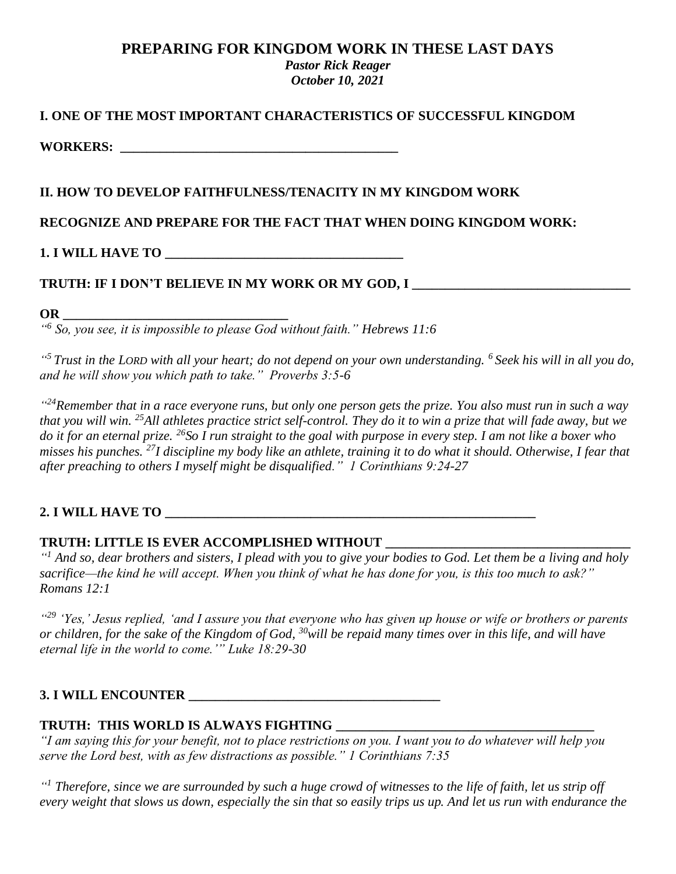# **PREPARING FOR KINGDOM WORK IN THESE LAST DAYS**

*Pastor Rick Reager October 10, 2021*

### **I. ONE OF THE MOST IMPORTANT CHARACTERISTICS OF SUCCESSFUL KINGDOM**

**WORKERS: \_\_\_\_\_\_\_\_\_\_\_\_\_\_\_\_\_\_\_\_\_\_\_\_\_\_\_\_\_\_\_\_\_\_\_\_\_\_\_\_\_\_**

### **II. HOW TO DEVELOP FAITHFULNESS/TENACITY IN MY KINGDOM WORK**

## **RECOGNIZE AND PREPARE FOR THE FACT THAT WHEN DOING KINGDOM WORK:**

**1. I WILL HAVE TO \_\_\_\_\_\_\_\_\_\_\_\_\_\_\_\_\_\_\_\_\_\_\_\_\_\_\_\_\_\_\_\_\_\_\_\_**

# **TRUTH: IF I DON'T BELIEVE IN MY WORK OR MY GOD, I \_\_\_\_\_\_\_\_\_\_\_\_\_\_\_\_\_\_\_\_\_\_\_\_\_\_\_\_\_\_\_\_\_**

#### **OR \_\_\_\_\_\_\_\_\_\_\_\_\_\_\_\_\_\_\_\_\_\_\_\_\_\_\_\_\_\_\_\_\_\_**

*" 6 So, you see, it is impossible to please God without faith." Hebrews 11:6*

*" <sup>5</sup> Trust in the LORD with all your heart; do not depend on your own understanding. <sup>6</sup> Seek his will in all you do, and he will show you which path to take." Proverbs 3:5-6*

*" <sup>24</sup>Remember that in a race everyone runs, but only one person gets the prize. You also must run in such a way that you will win. <sup>25</sup>All athletes practice strict self-control. They do it to win a prize that will fade away, but we do it for an eternal prize. <sup>26</sup>So I run straight to the goal with purpose in every step. I am not like a boxer who misses his punches. <sup>27</sup>I discipline my body like an athlete, training it to do what it should. Otherwise, I fear that after preaching to others I myself might be disqualified." 1 Corinthians 9:24-27*

# **2. I** WILL HAVE TO

### **TRUTH: LITTLE IS EVER ACCOMPLISHED WITHOUT \_\_\_\_\_\_\_\_\_\_\_\_\_\_\_\_\_\_\_\_\_\_\_\_\_\_\_\_\_\_\_\_\_\_\_\_\_**

*" <sup>1</sup> And so, dear brothers and sisters, I plead with you to give your bodies to God. Let them be a living and holy sacrifice—the kind he will accept. When you think of what he has done for you, is this too much to ask?" Romans 12:1*

*" <sup>29</sup> 'Yes,' Jesus replied, 'and I assure you that everyone who has given up house or wife or brothers or parents or children, for the sake of the Kingdom of God, <sup>30</sup>will be repaid many times over in this life, and will have eternal life in the world to come.'" Luke 18:29-30*

### **3. I WILL ENCOUNTER \_\_\_\_\_\_\_\_\_\_\_\_\_\_\_\_\_\_\_\_\_\_\_\_\_\_\_\_\_\_\_\_\_\_\_\_\_\_**

### **TRUTH: THIS WORLD IS ALWAYS FIGHTING \_\_\_\_\_\_\_\_\_\_\_\_\_\_\_\_\_\_\_\_\_\_\_\_\_\_\_\_\_\_\_\_\_\_\_\_\_\_\_**

*"I am saying this for your benefit, not to place restrictions on you. I want you to do whatever will help you serve the Lord best, with as few distractions as possible." 1 Corinthians 7:35*

*" <sup>1</sup> Therefore, since we are surrounded by such a huge crowd of witnesses to the life of faith, let us strip off every weight that slows us down, especially the sin that so easily trips us up. And let us run with endurance the*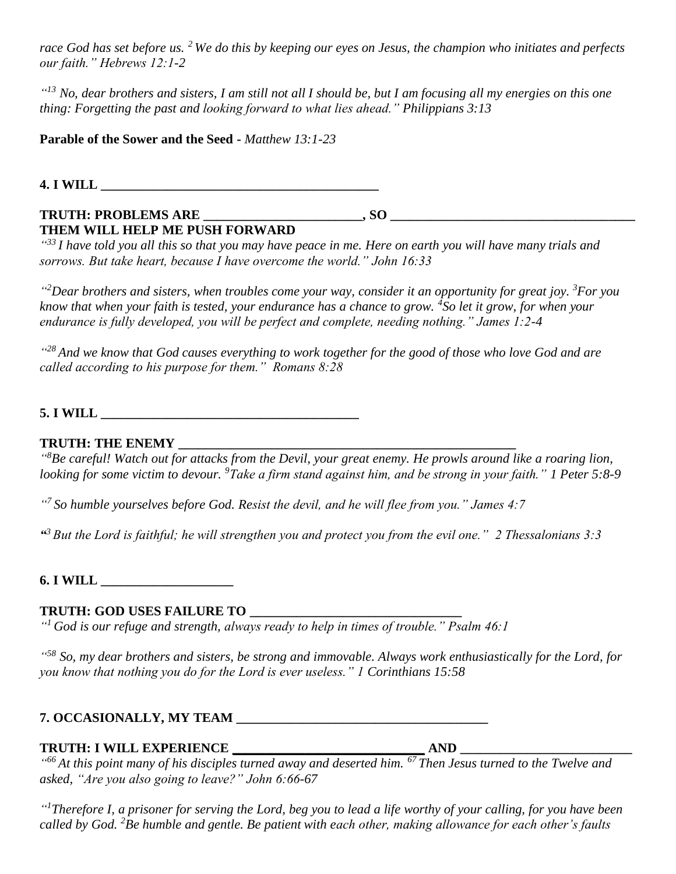*race God has set before us. <sup>2</sup> We do this by keeping our eyes on Jesus, the champion who initiates and perfects our faith." Hebrews 12:1-2*

<sup>"13</sup> No, dear brothers and sisters, I am still not all I should be, but I am focusing all my energies on this one *thing: Forgetting the past and looking forward to what lies ahead." Philippians 3:13*

**Parable of the Sower and the Seed -** *Matthew 13:1-23*

**4. I WILL \_\_\_\_\_\_\_\_\_\_\_\_\_\_\_\_\_\_\_\_\_\_\_\_\_\_\_\_\_\_\_\_\_\_\_\_\_\_\_\_\_\_**

# **TRUTH: PROBLEMS ARE \_\_\_\_\_\_\_\_\_\_\_\_\_\_\_\_\_\_\_\_\_\_\_\_, SO \_\_\_\_\_\_\_\_\_\_\_\_\_\_\_\_\_\_\_\_\_\_\_\_\_\_\_\_\_\_\_\_\_\_\_\_\_ THEM WILL HELP ME PUSH FORWARD**

*" <sup>33</sup> I have told you all this so that you may have peace in me. Here on earth you will have many trials and sorrows. But take heart, because I have overcome the world." John 16:33*

*" <sup>2</sup>Dear brothers and sisters, when troubles come your way, consider it an opportunity for great joy. <sup>3</sup>For you know that when your faith is tested, your endurance has a chance to grow. <sup>4</sup> So let it grow, for when your endurance is fully developed, you will be perfect and complete, needing nothing." James 1:2-4*

*" <sup>28</sup> And we know that God causes everything to work together for the good of those who love God and are called according to his purpose for them." Romans 8:28*

**5. I WILL \_\_\_\_\_\_\_\_\_\_\_\_\_\_\_\_\_\_\_\_\_\_\_\_\_\_\_\_\_\_\_\_\_\_\_\_\_\_\_**

# **TRUTH: THE ENEMY \_\_\_\_\_\_\_\_\_\_\_\_\_\_\_\_\_\_\_\_\_\_\_\_\_\_\_\_\_\_\_\_\_\_\_\_\_\_\_\_\_\_\_\_\_\_\_\_\_\_\_**

*" <sup>8</sup>Be careful! Watch out for attacks from the Devil, your great enemy. He prowls around like a roaring lion, looking for some victim to devour. <sup>9</sup>Take a firm stand against him, and be strong in your faith." 1 Peter 5:8-9*

*" 7 So humble yourselves before God. Resist the devil, and he will flee from you." James 4:7*

*" <sup>3</sup> But the Lord is faithful; he will strengthen you and protect you from the evil one." 2 Thessalonians 3:3*

**6. I WILL \_\_\_\_\_\_\_\_\_\_\_\_\_\_\_\_\_\_\_\_**

# **TRUTH: GOD USES FAILURE TO \_\_\_\_\_\_\_\_\_\_\_\_\_\_\_\_\_\_\_\_\_\_\_\_\_\_\_\_\_\_\_\_**

*" <sup>1</sup> God is our refuge and strength, always ready to help in times of trouble." Psalm 46:1*

*" <sup>58</sup> So, my dear brothers and sisters, be strong and immovable. Always work enthusiastically for the Lord, for you know that nothing you do for the Lord is ever useless." 1 Corinthians 15:58*

# **7. OCCASIONALLY, MY TEAM \_\_\_\_\_\_\_\_\_\_\_\_\_\_\_\_\_\_\_\_\_\_\_\_\_\_\_\_\_\_\_\_\_\_\_\_\_\_**

### **TRUTH: I WILL EXPERIENCE \_\_\_\_\_\_\_\_\_\_\_\_\_\_\_\_\_\_\_\_\_\_\_\_\_\_\_\_\_ AND \_\_\_\_\_\_\_\_\_\_\_\_\_\_\_\_\_\_\_\_\_\_\_\_\_\_**

*" <sup>66</sup> At this point many of his disciples turned away and deserted him. <sup>67</sup> Then Jesus turned to the Twelve and asked, "Are you also going to leave?" John 6:66-67*

*" <sup>1</sup>Therefore I, a prisoner for serving the Lord, beg you to lead a life worthy of your calling, for you have been called by God. <sup>2</sup>Be humble and gentle. Be patient with each other, making allowance for each other's faults*